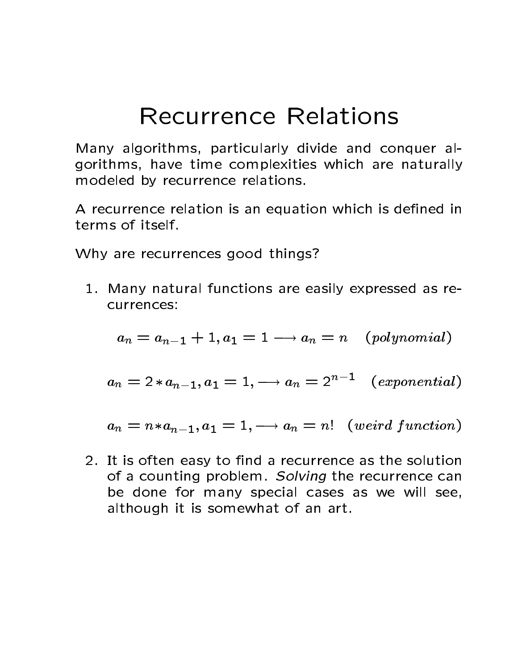# Recurrence Relations

Many algorithms, particularly divide and conquer algorithms, have time complexities which are naturally modeled by recurrence relations

A recurrence relation is an equation which is defined in terms of itself.

Why are recurrences good things?

1. Many natural functions are easily expressed as recurrences:

$$
a_n = a_{n-1} + 1, a_1 = 1 \longrightarrow a_n = n \quad (polynomial)
$$

 $a_n \equiv 2*a_{n-1}, a_1 \equiv 1, \longrightarrow a_n \equiv 2$ " (exponential)

 $a_n = n * a_{n-1}, a_1 = 1, \longrightarrow a_n = n!$  (weird function)

 It is often easy to nd a recurrence as the solution of a counting problem. Solving the recurrence can be done for many special cases as we will see although it is somewhat of an art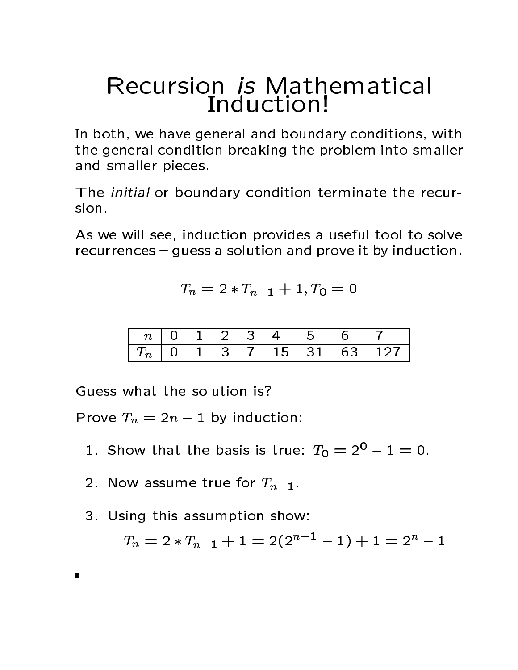## Recursion is Mathematical Induction

In both, we have general and boundary conditions, with the general condition breaking the problem into smaller and smaller pieces

The *initial* or boundary condition terminate the recursion

As we will see, induction provides a useful tool to solve  $recurrences - guess$  a solution and prove it by induction.

$$
T_n = 2 \cdot T_{n-1} + 1, T_0 = 0
$$

|  |  |  | n   0 1 2 3 4 5 6 7 |                              |
|--|--|--|---------------------|------------------------------|
|  |  |  |                     | $ T_n $ 0 1 3 7 15 31 63 127 |

Guess what the solution is?

Prove  $T_n = 2n - 1$  by induction:

- 1. Show that the basis is true:  $T_0 = 2^2 1 = 0$ .
- 2. Now assume true for  $T_{n-1}$ .
- 3. Using this assumption show:

 $T_n = 2 \cdot T_{n-1} + 1 = 2(2^{n-1} - 1) + 1 = 2^{n} - 1$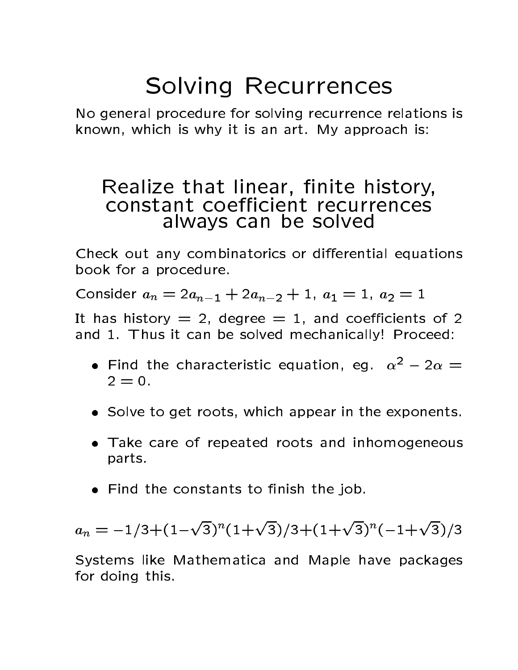# Solving Recurrences

No general procedure for solving recurrence relations is known, which is why it is an art. My approach is:

#### Realize that linear nite history constant coe-cient recurrences all the solve distribution of  $\mathbf{v}$  and  $\mathbf{v}$  and  $\mathbf{v}$

Check out any combinatorics or differential equations book for a procedure.

 $\sum_{i=1}^{n}$   $\sum_{i=1}^{n}$   $\sum_{i=1}^{n}$   $\sum_{i=1}^{n}$   $\sum_{i=1}^{n}$   $\sum_{i=1}^{n}$   $\sum_{i=1}^{n}$   $\sum_{i=1}^{n}$ 

It has history  $= 2$ , degree  $= 1$ , and coefficients of 2 and 1. Thus it can be solved mechanically! Proceed:

- $\bullet$  Find the characteristic equation, eq.  $\alpha^- z\alpha =$  $2 = 0.$
- Solve to get roots, which appear in the exponents.
- Take care of repeated roots and inhomogeneous parts
- $\bullet$  Find the constants to finish the job.

$$
a_n = -1/3 + (1 - \sqrt{3})^n (1 + \sqrt{3})/3 + (1 + \sqrt{3})^n (-1 + \sqrt{3})/3
$$

Systems like Mathematica and Maple have packages for doing this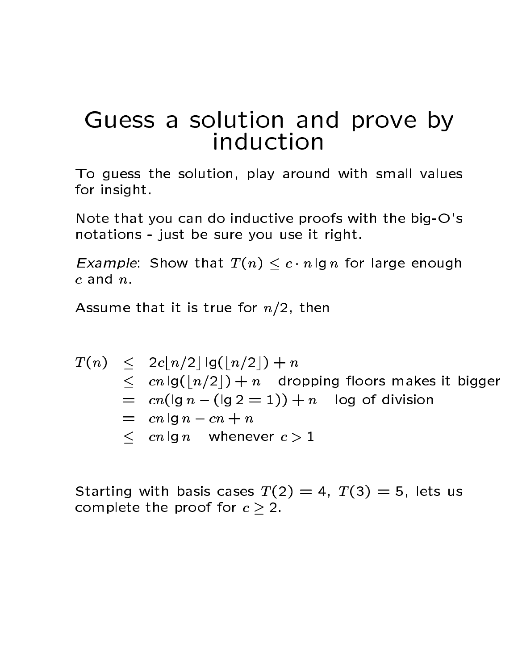# Guess a solution and prove by

To guess the solution, play around with small values for insight

Note that you can do inductive proofs with the big- $O$ 's notations - just be sure you use it right.

 $\blacksquare$  . In formulation  $\blacksquare$  . The show that  $\blacksquare$  is the state enough that  $\blacksquare$ c and n

Assume that it is true for n- then

$$
T(n) \leq 2c\lfloor n/2 \rfloor \lg(\lfloor n/2 \rfloor) + n
$$
  
\n
$$
\leq cn \lg(\lfloor n/2 \rfloor) + n
$$
 dropping floors makes it bigger  
\n
$$
= cn(\lg n - (\lg 2 = 1)) + n
$$
log of division  
\n
$$
= cn \lg n - cn + n
$$
  
\n
$$
\leq cn \lg n
$$
 whenever  $c > 1$ 

Starting with basis cases  $T(2) = 4$ ,  $T(3) = 5$ , lets us complete the proof for  $c \geq 2$ .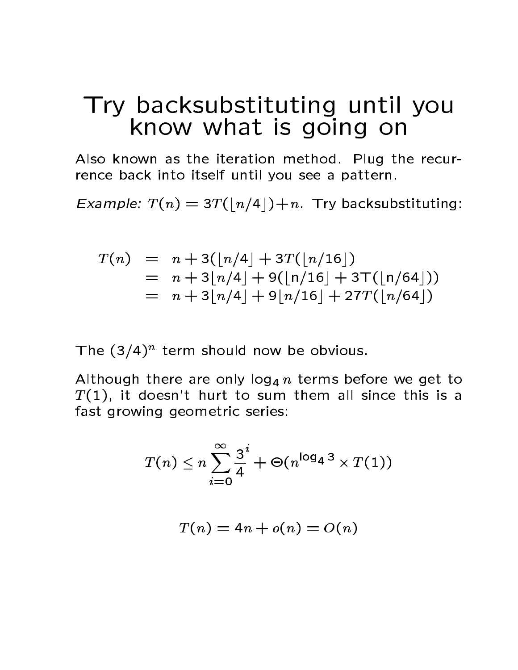## Try backsubstituting until you know what is going on

Also known as the iteration method. Plug the recurrence back into itself until you see a pattern

Example <sup>T</sup> nT bn-c-n Try backsubstituting

$$
T(n) = n + 3(\lfloor n/4 \rfloor + 3T(\lfloor n/16 \rfloor))
$$
  
= n + 3\lfloor n/4 \rfloor + 9(\lfloor n/16 \rfloor + 3T(\lfloor n/64 \rfloor))  
= n + 3\lfloor n/4 \rfloor + 9\lfloor n/16 \rfloor + 27T(\lfloor n/64 \rfloor)

The (3/4) Lenn should now be obvious.

Although there are only log <sup>n</sup> terms before we get to T  it doesnt hurt to sum them all since this is a fast growing geometric series

$$
T(n) \leq n \sum_{i=0}^{\infty} \frac{3^i}{4} + \Theta(n^{\log_4 3} \times T(1))
$$

$$
T(n) = 4n + o(n) = O(n)
$$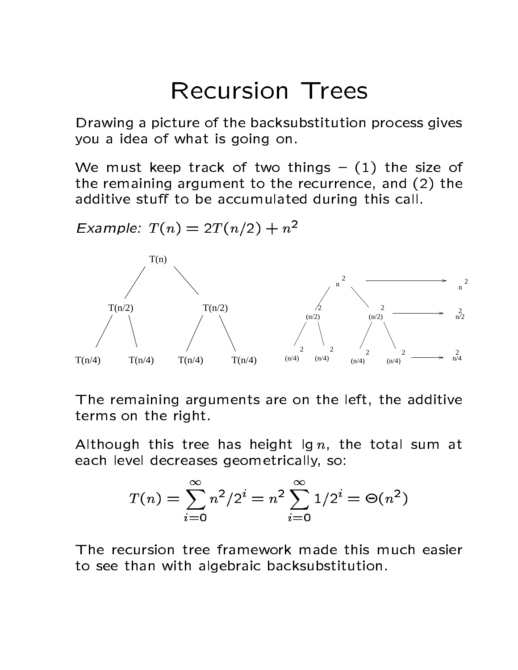# **Recursion Trees**

Drawing a picture of the backsubstitution process gives you a idea of what is going on

We must keep track of two things  $-$  (1) the size of the remaining argument to the recurrence, and  $(2)$  the additive stuff to be accumulated during this call.

 $T(n/2)$  $T(n/4)$   $T(n/4)$   $T(n/4)$   $T(n/4)$  $T(n/2)$  $T(n)$ n 2  $(n/2)$ 2  $(n/4)$ 2  $(n/4)$ 2  $(n/4)$ 2  $(n/4)$ 2  $(n/2)$  $\overline{c}$ n 2  $n^2/2$  $n^2/4$ 

Example:  $I(n) \equiv 2I(n/2) + n^{-1}$ 

The remaining arguments are on the left, the additive terms on the right

Although this tree has height  $\lg n$ , the total sum at each level decreases geometrically, so:

$$
T(n) = \sum_{i=0}^{\infty} n^2 / 2^i = n^2 \sum_{i=0}^{\infty} 1/2^i = \Theta(n^2)
$$

to see than with algebraic backsubstitution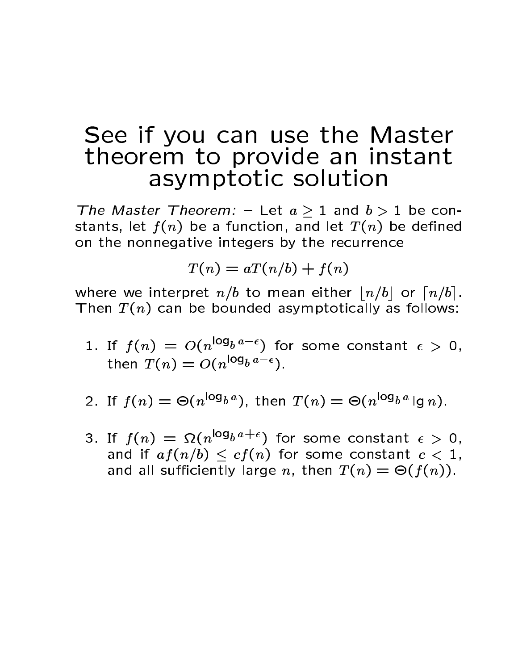## See if you can use the Master theorem to provide an instant asymptotic solution

The Master Theorem Let  $a \times 1$  and  $b \times 1$  be con stants, let  $f(n)$  be a function, and let  $T(n)$  be defined on the nonnegative integers by the recurrence

$$
T(n) = aT(n/b) + f(n)
$$

beto to mean either by the band we have the second the property of the second second second second second second Then  $T(n)$  can be bounded asymptotically as follows:

- 1. If  $f(n) = O(n^{\log_b a \epsilon})$  for some constant  $\epsilon > 0$ , then  $T(n) = O(n^{\log_b a - \epsilon}).$
- 2. If  $I(n) \equiv \Theta(n^{2\theta}\sigma^{2})$ , then  $I(n) \equiv \Theta(n^{2\theta}\sigma^{2})$  ig n.
- 3. If  $f(n) = \Omega(n^{\log_b a + \epsilon})$  for some constant  $\epsilon > 0$ , and if without it child for some constant city is and all sufficiently large n, then  $T(n) = \Theta(f(n))$ .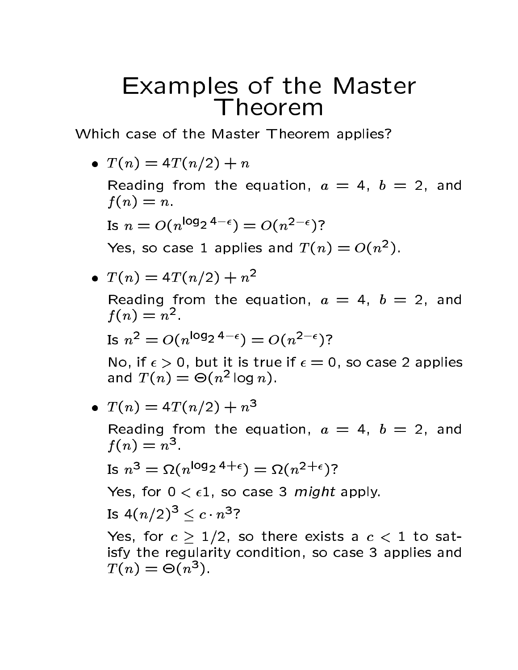# Examples of the Master Theorem

Which case of the Master Theorem applies?

<sup>T</sup> nT n- - <sup>n</sup>

Reading from the equation,  $a = 4$ ,  $b = 2$ , and f n n

Is 
$$
n = O(n^{\log_2 4 - \epsilon}) = O(n^{2-\epsilon})
$$
?

Yes, so case I applies and  $I(n) \equiv O(n^{-})$ .

$$
\bullet \ \ T(n) = 4T(n/2) + n^2
$$

Reading from the equation,  $a = 4$ ,  $b = 2$ , and  $f(n) = n^{-1}$ 

Is 
$$
n^2 = O(n^{\log_2 4 - \epsilon}) = O(n^{2-\epsilon})
$$
?

No, if  $\epsilon > 0$ , but it is true if  $\epsilon = 0$ , so case 2 applies and  $I(n) = \Theta(n^{-1} \log n)$ .

$$
\bullet \ \ T(n) = 4T(n/2) + n^3
$$

Reading from the equation,  $a = 4$ ,  $b = 2$ , and  $f(n) = n^{\mathcal{F}}$ 

Is 
$$
n^3 = \Omega(n^{\log_2 4 + \epsilon}) = \Omega(n^{2 + \epsilon})
$$
?

Yes, for  $0 < \epsilon 1$ , so case 3 *might* apply.

Is 
$$
4(n/2)^3 \leq c \cdot n^3
$$
?

TW, TVT C  $\ell$  -  $\pm$  /  $\pm$  , up to strive control to the control of  $\ell$  in the same strip  $\ell$ isfy the regularity condition, so case 3 applies and  $I(n) \equiv \Theta(n^*)$ .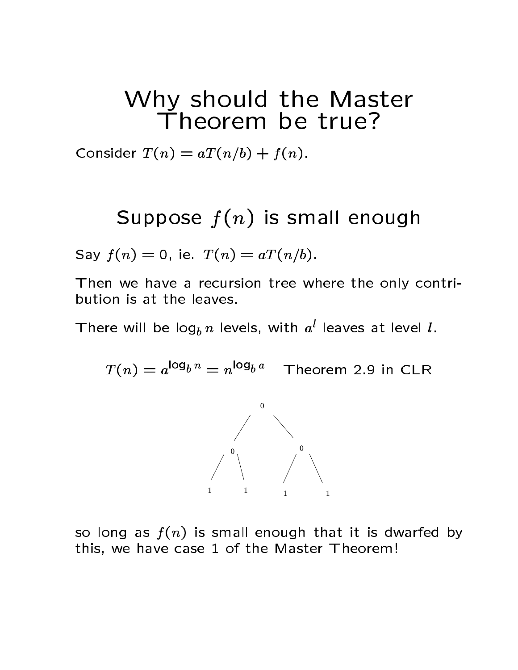# Why should the Master

 $\bullet$  -  $\bullet$  .  $\bullet$  .  $\bullet$  .  $\bullet$  .  $\bullet$  .  $\bullet$  .  $\bullet$  .  $\bullet$  .  $\bullet$  .  $\bullet$  .  $\bullet$  .  $\bullet$  .  $\bullet$  .  $\bullet$  .  $\bullet$  .  $\bullet$  .  $\bullet$  .  $\bullet$  .  $\bullet$  .  $\bullet$  .  $\bullet$  .  $\bullet$  .  $\bullet$  .  $\bullet$  .  $\bullet$  .  $\bullet$  .  $\bullet$  .  $\bullet$  .  $\bullet$  .  $\bullet$  .  $\bullet$ 

#### Suppose for the state for the state for the state of the state of the state of the state of the state of the s

 $\mathcal{L}$  . The same  $\mathcal{L}$  is the same  $\mathcal{L}$  is the same of  $\mathcal{L}$ 

Then we have a recursion tree where the only contribution is at the leaves

There will be  $\log_b n$  levels, with  $a^l$  leaves at level *l*.

 $T(n) \equiv a^{-3}e^{n} \equiv n^{-3}e^{n}$  Theorem 2.9 In CLR



so long as  $f(n)$  is small enough that it is dwarfed by this, we have case 1 of the Master Theorem!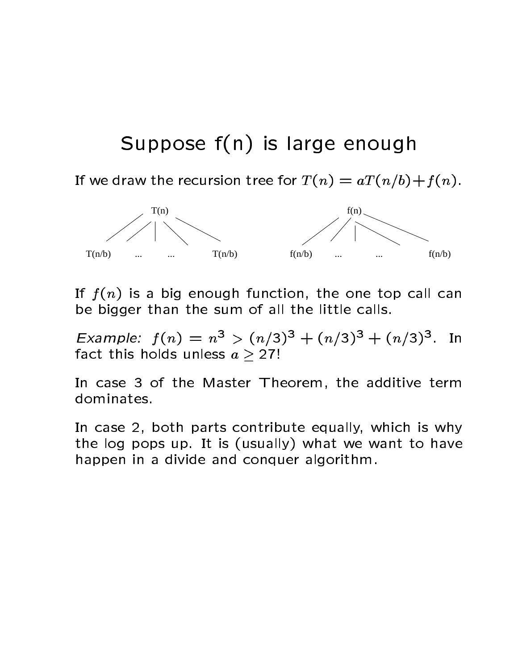## Suppose fn is large enough

Fritty the recursion the recursion terms of  $\mathcal{L}$  and  $\mathcal{L}$  at  $\mathcal{L}$  at  $\mathcal{L}$  at  $\mathcal{L}$ 



If  $f(n)$  is a big enough function, the one top call can be bigger than the sum of all the little calls

Example.  $\Gamma(n) \equiv n^2 > (n/3)^2 + (n/3)^2 + (n/3)^2$ . In fact this holds unless  $a \geq 27!$ 

In case 3 of the Master Theorem, the additive term dominates.

In case 2, both parts contribute equally, which is why the log pops up. It is (usually) what we want to have happen in a divide and conquer algorithm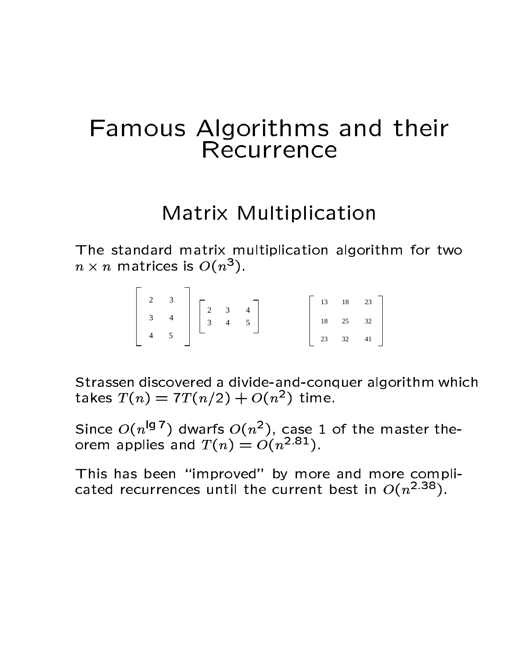# Famous Algorithms and their Recurrence

### Matrix Multiplication

The standard matrix multiplication algorithm for two  $n \times n$  matrices is  $O(n^2)$ .

| $\overline{2}$ |                                                                                                                |  |  |  | $13 \t 18 \t 23$ |
|----------------|----------------------------------------------------------------------------------------------------------------|--|--|--|------------------|
|                | $\begin{bmatrix} 2 & 3 \\ 3 & 4 \\ 4 & 5 \end{bmatrix}$ $\begin{bmatrix} 2 & 3 & 4 \\ 3 & 4 & 5 \end{bmatrix}$ |  |  |  | $18 \t 25 \t 32$ |
|                |                                                                                                                |  |  |  | 23 32 41         |

Strassen discovered a divide-and-conquer algorithm which takes  $I(n) \equiv I I(n/2) + O(n^{-})$  time.

Since  $O(n^{19})$  dwarts  $O(n^2)$ , case 1 of the master theorem applies and  $I(n) \equiv O(n^{-\nu-1})$ .

This has been "improved" by more and more complicated recurrences until the current best in  $O(n^{2+\infty})$ .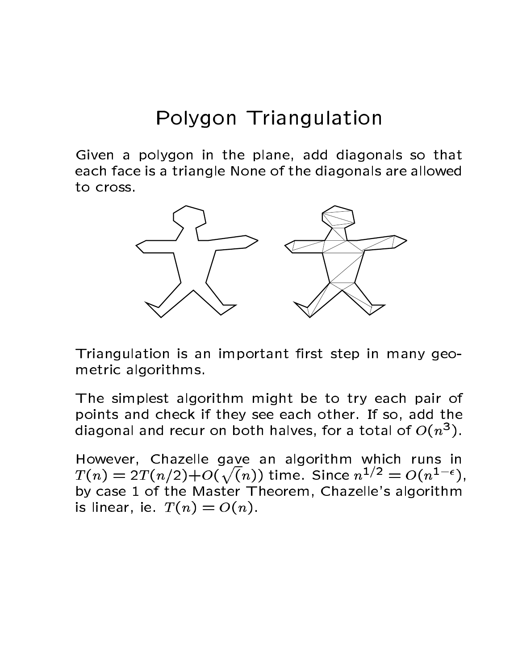## Polygon Triangulation

Given a polygon in the plane, add diagonals so that each face is a triangle None of the diagonals are allowed to cross.



Triangulation is an important first step in many geometric algorithms

The simplest algorithm might be to try each pair of points and check if they see each other. If so, add the diagonal and recur on both halves, for a total of  $O(n^2)$ .

However, Chazelle gave an algorithm which runs in  $T(n) = 2T(n/2) + O(\sqrt(n))$  time. Since  $n^{1/2} = O(n^{1-\epsilon}),$ by case 1 of the Master Theorem, Chazelle's algorithm is linear, ie.  $T(n) = O(n)$ .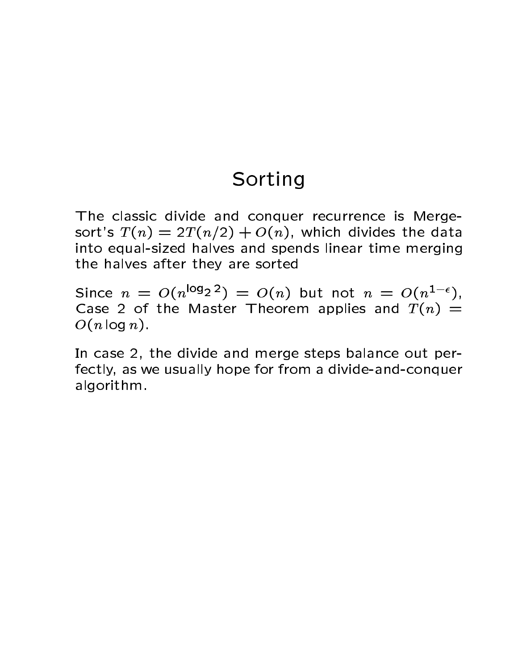#### Sorting

The classic divide and conquer recurrence is Merge sorts T not all the data through the data through the data through the data through the data through the data t into equal-sized halves and spends linear time merging the halves after they are sorted

SINCE  $n = O(n^{3/2}2^{-1}) = O(n)$  but not  $n = O(n^{2})$ , Case 2 of the Master Theorem applies and  $T(n)$  =  $O(n \log n)$ .

In case 2, the divide and merge steps balance out perfectly, as we usually hope for from a divide-and-conquer algorithm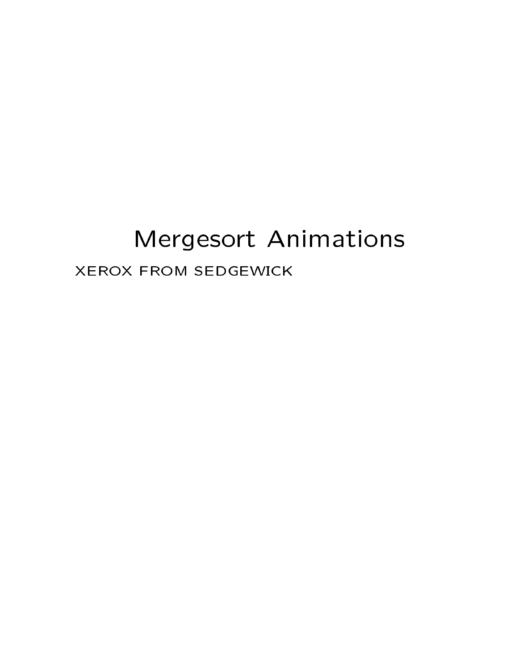# Mergesort Animations XEROX FROM SEDGEWICK